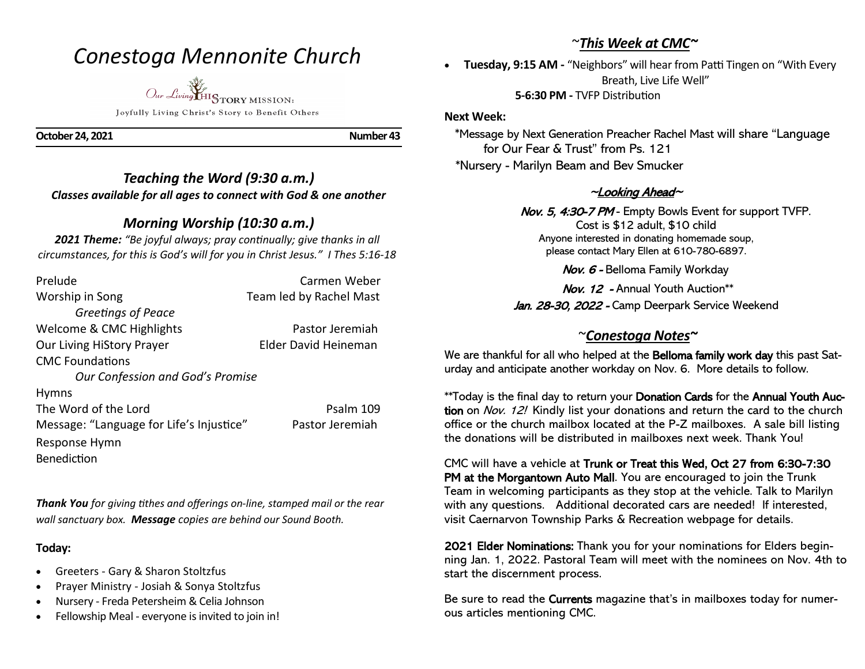# *Conestoga Mennonite Church*

*Our Living* HISTORY MISSION: Joyfully Living Christ's Story to Benefit Others

**October 24, 2021** Number 43

*Teaching the Word (9:30 a.m.) Classes available for all ages to connect with God & one another* 

## *Morning Worship (10:30 a.m.)*

*2021 Theme: "Be joyful always; pray continually; give thanks in all circumstances, for this is God's will for you in Christ Jesus." I Thes 5:16-18*

| Prelude                                  | Carmen Weber            |
|------------------------------------------|-------------------------|
| Worship in Song                          | Team led by Rachel Mast |
| Greetings of Peace                       |                         |
| Welcome & CMC Highlights                 | Pastor Jeremiah         |
| <b>Our Living HiStory Prayer</b>         | Elder David Heineman    |
| <b>CMC</b> Foundations                   |                         |
| Our Confession and God's Promise         |                         |
| <b>Hymns</b>                             |                         |
| The Word of the Lord                     | Psalm 109               |
| Message: "Language for Life's Injustice" | Pastor Jeremiah         |
| Response Hymn                            |                         |
| <b>Benediction</b>                       |                         |

*Thank You for giving tithes and offerings on-line, stamped mail or the rear wall sanctuary box. Message copies are behind our Sound Booth.*

### **Today:**

- Greeters Gary & Sharon Stoltzfus
- Prayer Ministry Josiah & Sonya Stoltzfus
- Nursery Freda Petersheim & Celia Johnson
- Fellowship Meal everyone is invited to join in!

# ~*This Week at CMC~*

• **Tuesday, 9:15 AM -** "Neighbors" will hear from Patti Tingen on "With Every Breath, Live Life Well"

 **5-6:30 PM -** TVFP Distribution

#### **Next Week:**

 \*Message by Next Generation Preacher Rachel Mast will share "Language for Our Fear & Trust" from Ps. 121 \*Nursery - Marilyn Beam and Bev Smucker

### ~Looking Ahead~

Nov. 5, 4:30-7 PM - Empty Bowls Event for support TVFP. Cost is \$12 adult, \$10 child Anyone interested in donating homemade soup, please contact Mary Ellen at 610-780-6897.

Nov. 6 - Belloma Family Workday

 Nov. 12 - Annual Youth Auction\*\* Jan. 28-30, 2022 - Camp Deerpark Service Weekend

### ~*Conestoga Notes~*

We are thankful for all who helped at the **Belloma family work day** this past Saturday and anticipate another workday on Nov. 6. More details to follow.

\*\*Today is the final day to return your Donation Cards for the Annual Youth Auction on Nov. 12! Kindly list your donations and return the card to the church office or the church mailbox located at the P-Z mailboxes. A sale bill listing the donations will be distributed in mailboxes next week. Thank You!

CMC will have a vehicle at Trunk or Treat this Wed, Oct 27 from 6:30-7:30 PM at the Morgantown Auto Mall. You are encouraged to join the Trunk Team in welcoming participants as they stop at the vehicle. Talk to Marilyn with any questions. Additional decorated cars are needed! If interested, visit Caernarvon Township Parks & Recreation webpage for details.

2021 Elder Nominations: Thank you for your nominations for Elders beginning Jan. 1, 2022. Pastoral Team will meet with the nominees on Nov. 4th to start the discernment process.

Be sure to read the Currents magazine that's in mailboxes today for numerous articles mentioning CMC.